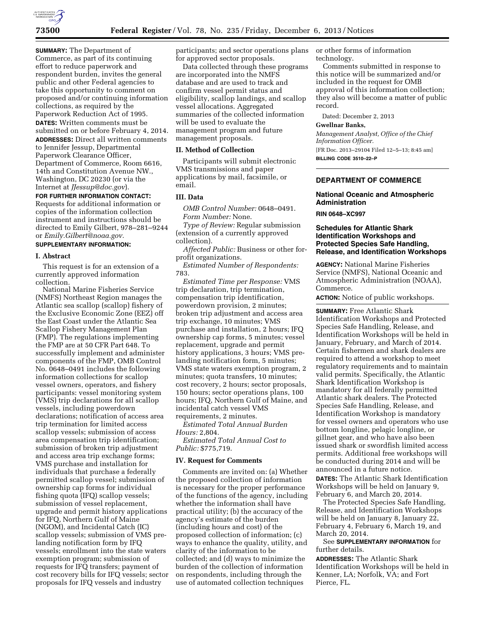

**SUMMARY:** The Department of Commerce, as part of its continuing effort to reduce paperwork and respondent burden, invites the general public and other Federal agencies to take this opportunity to comment on proposed and/or continuing information collections, as required by the Paperwork Reduction Act of 1995. **DATES:** Written comments must be submitted on or before February 4, 2014. **ADDRESSES:** Direct all written comments to Jennifer Jessup, Departmental Paperwork Clearance Officer, Department of Commerce, Room 6616, 14th and Constitution Avenue NW., Washington, DC 20230 (or via the Internet at *[JJessup@doc.gov](mailto:JJessup@doc.gov)*).

**FOR FURTHER INFORMATION CONTACT:**  Requests for additional information or copies of the information collection instrument and instructions should be directed to Emily Gilbert, 978–281–9244 or *[Emily.Gilbert@noaa.gov.](mailto:Emily.Gilbert@noaa.gov)* 

# **SUPPLEMENTARY INFORMATION:**

## **I. Abstract**

This request is for an extension of a currently approved information collection.

National Marine Fisheries Service (NMFS) Northeast Region manages the Atlantic sea scallop (scallop) fishery of the Exclusive Economic Zone (EEZ) off the East Coast under the Atlantic Sea Scallop Fishery Management Plan (FMP). The regulations implementing the FMP are at 50 CFR Part 648. To successfully implement and administer components of the FMP, OMB Control No. 0648–0491 includes the following information collections for scallop vessel owners, operators, and fishery participants: vessel monitoring system (VMS) trip declarations for all scallop vessels, including powerdown declarations; notification of access area trip termination for limited access scallop vessels; submission of access area compensation trip identification; submission of broken trip adjustment and access area trip exchange forms; VMS purchase and installation for individuals that purchase a federally permitted scallop vessel; submission of ownership cap forms for individual fishing quota (IFQ) scallop vessels; submission of vessel replacement, upgrade and permit history applications for IFQ, Northern Gulf of Maine (NGOM), and Incidental Catch (IC) scallop vessels; submission of VMS prelanding notification form by IFQ vessels; enrollment into the state waters exemption program; submission of requests for IFQ transfers; payment of cost recovery bills for IFQ vessels; sector proposals for IFQ vessels and industry

participants; and sector operations plans for approved sector proposals.

Data collected through these programs are incorporated into the NMFS database and are used to track and confirm vessel permit status and eligibility, scallop landings, and scallop vessel allocations. Aggregated summaries of the collected information will be used to evaluate the management program and future management proposals.

### **II. Method of Collection**

Participants will submit electronic VMS transmissions and paper applications by mail, facsimile, or email.

# **III. Data**

*OMB Control Number:* 0648–0491. *Form Number:* None.

*Type of Review:* Regular submission (extension of a currently approved collection).

*Affected Public:* Business or other forprofit organizations.

*Estimated Number of Respondents:*  783.

*Estimated Time per Response:* VMS trip declaration, trip termination, compensation trip identification, powerdown provision, 2 minutes; broken trip adjustment and access area trip exchange, 10 minutes; VMS purchase and installation, 2 hours; IFQ ownership cap forms, 5 minutes; vessel replacement, upgrade and permit history applications, 3 hours; VMS prelanding notification form, 5 minutes; VMS state waters exemption program, 2 minutes; quota transfers, 10 minutes; cost recovery, 2 hours; sector proposals, 150 hours; sector operations plans, 100 hours; IFQ, Northern Gulf of Maine, and incidental catch vessel VMS requirements, 2 minutes.

*Estimated Total Annual Burden Hours:* 2,804.

*Estimated Total Annual Cost to Public:* \$775,719.

### **IV. Request for Comments**

Comments are invited on: (a) Whether the proposed collection of information is necessary for the proper performance of the functions of the agency, including whether the information shall have practical utility; (b) the accuracy of the agency's estimate of the burden (including hours and cost) of the proposed collection of information; (c) ways to enhance the quality, utility, and clarity of the information to be collected; and (d) ways to minimize the burden of the collection of information on respondents, including through the use of automated collection techniques

or other forms of information technology.

Comments submitted in response to this notice will be summarized and/or included in the request for OMB approval of this information collection; they also will become a matter of public record.

Dated: December 2, 2013

## **Gwellnar Banks,**

*Management Analyst, Office of the Chief Information Officer.*  [FR Doc. 2013–29104 Filed 12–5–13; 8:45 am] **BILLING CODE 3510–22–P** 

## **DEPARTMENT OF COMMERCE**

# **National Oceanic and Atmospheric Administration**

## **RIN 0648–XC997**

## **Schedules for Atlantic Shark Identification Workshops and Protected Species Safe Handling, Release, and Identification Workshops**

**AGENCY:** National Marine Fisheries Service (NMFS), National Oceanic and Atmospheric Administration (NOAA), Commerce.

**ACTION:** Notice of public workshops.

**SUMMARY:** Free Atlantic Shark Identification Workshops and Protected Species Safe Handling, Release, and Identification Workshops will be held in January, February, and March of 2014. Certain fishermen and shark dealers are required to attend a workshop to meet regulatory requirements and to maintain valid permits. Specifically, the Atlantic Shark Identification Workshop is mandatory for all federally permitted Atlantic shark dealers. The Protected Species Safe Handling, Release, and Identification Workshop is mandatory for vessel owners and operators who use bottom longline, pelagic longline, or gillnet gear, and who have also been issued shark or swordfish limited access permits. Additional free workshops will be conducted during 2014 and will be announced in a future notice.

**DATES:** The Atlantic Shark Identification Workshops will be held on January 9, February 6, and March 20, 2014.

The Protected Species Safe Handling, Release, and Identification Workshops will be held on January 8, January 22, February 4, February 6, March 19, and March 20, 2014.

# See **SUPPLEMENTARY INFORMATION** for further details.

**ADDRESSES:** The Atlantic Shark Identification Workshops will be held in Kenner, LA; Norfolk, VA; and Fort Pierce, FL.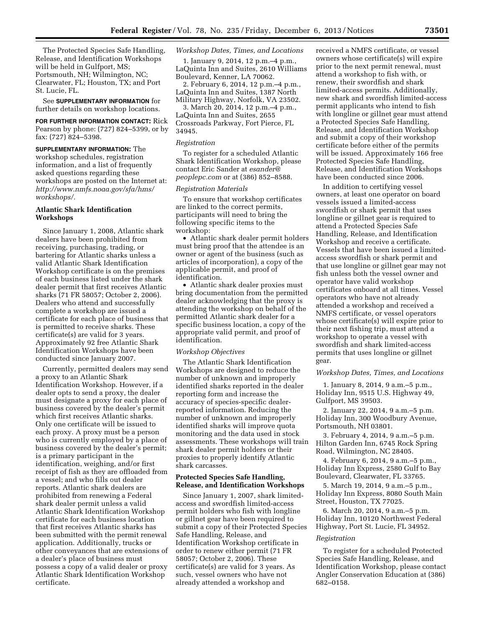The Protected Species Safe Handling, Release, and Identification Workshops will be held in Gulfport, MS; Portsmouth, NH; Wilmington, NC; Clearwater, FL; Houston, TX; and Port St. Lucie, FL.

See **SUPPLEMENTARY INFORMATION** for further details on workshop locations.

**FOR FURTHER INFORMATION CONTACT:** Rick Pearson by phone: (727) 824–5399, or by fax: (727) 824–5398.

**SUPPLEMENTARY INFORMATION:** The workshop schedules, registration information, and a list of frequently asked questions regarding these workshops are posted on the Internet at: *[http://www.nmfs.noaa.gov/sfa/hms/](http://www.nmfs.noaa.gov/sfa/hms/workshops/) [workshops/.](http://www.nmfs.noaa.gov/sfa/hms/workshops/)* 

## **Atlantic Shark Identification Workshops**

Since January 1, 2008, Atlantic shark dealers have been prohibited from receiving, purchasing, trading, or bartering for Atlantic sharks unless a valid Atlantic Shark Identification Workshop certificate is on the premises of each business listed under the shark dealer permit that first receives Atlantic sharks (71 FR 58057; October 2, 2006). Dealers who attend and successfully complete a workshop are issued a certificate for each place of business that is permitted to receive sharks. These certificate(s) are valid for 3 years. Approximately 92 free Atlantic Shark Identification Workshops have been conducted since January 2007.

Currently, permitted dealers may send a proxy to an Atlantic Shark Identification Workshop. However, if a dealer opts to send a proxy, the dealer must designate a proxy for each place of business covered by the dealer's permit which first receives Atlantic sharks. Only one certificate will be issued to each proxy. A proxy must be a person who is currently employed by a place of business covered by the dealer's permit; is a primary participant in the identification, weighing, and/or first receipt of fish as they are offloaded from a vessel; and who fills out dealer reports. Atlantic shark dealers are prohibited from renewing a Federal shark dealer permit unless a valid Atlantic Shark Identification Workshop certificate for each business location that first receives Atlantic sharks has been submitted with the permit renewal application. Additionally, trucks or other conveyances that are extensions of a dealer's place of business must possess a copy of a valid dealer or proxy Atlantic Shark Identification Workshop certificate.

*Workshop Dates, Times, and Locations* 

1. January 9, 2014, 12 p.m.–4 p.m., LaQuinta Inn and Suites, 2610 Williams Boulevard, Kenner, LA 70062.

2. February 6, 2014, 12 p.m.–4 p.m., LaQuinta Inn and Suites, 1387 North Military Highway, Norfolk, VA 23502.

3. March 20, 2014, 12 p.m.–4 p.m., LaQuinta Inn and Suites, 2655 Crossroads Parkway, Fort Pierce, FL 34945.

## *Registration*

To register for a scheduled Atlantic Shark Identification Workshop, please contact Eric Sander at *[esander@](mailto:esander@peoplepc.com) [peoplepc.com](mailto:esander@peoplepc.com)* or at (386) 852–8588.

#### *Registration Materials*

To ensure that workshop certificates are linked to the correct permits, participants will need to bring the following specific items to the workshop:

• Atlantic shark dealer permit holders must bring proof that the attendee is an owner or agent of the business (such as articles of incorporation), a copy of the applicable permit, and proof of identification.

• Atlantic shark dealer proxies must bring documentation from the permitted dealer acknowledging that the proxy is attending the workshop on behalf of the permitted Atlantic shark dealer for a specific business location, a copy of the appropriate valid permit, and proof of identification.

#### *Workshop Objectives*

The Atlantic Shark Identification Workshops are designed to reduce the number of unknown and improperly identified sharks reported in the dealer reporting form and increase the accuracy of species-specific dealerreported information. Reducing the number of unknown and improperly identified sharks will improve quota monitoring and the data used in stock assessments. These workshops will train shark dealer permit holders or their proxies to properly identify Atlantic shark carcasses.

## **Protected Species Safe Handling, Release, and Identification Workshops**

Since January 1, 2007, shark limitedaccess and swordfish limited-access permit holders who fish with longline or gillnet gear have been required to submit a copy of their Protected Species Safe Handling, Release, and Identification Workshop certificate in order to renew either permit (71 FR 58057; October 2, 2006). These certificate(s) are valid for 3 years. As such, vessel owners who have not already attended a workshop and

received a NMFS certificate, or vessel owners whose certificate(s) will expire prior to the next permit renewal, must attend a workshop to fish with, or renew, their swordfish and shark limited-access permits. Additionally, new shark and swordfish limited-access permit applicants who intend to fish with longline or gillnet gear must attend a Protected Species Safe Handling, Release, and Identification Workshop and submit a copy of their workshop certificate before either of the permits will be issued. Approximately 166 free Protected Species Safe Handling, Release, and Identification Workshops have been conducted since 2006.

In addition to certifying vessel owners, at least one operator on board vessels issued a limited-access swordfish or shark permit that uses longline or gillnet gear is required to attend a Protected Species Safe Handling, Release, and Identification Workshop and receive a certificate. Vessels that have been issued a limitedaccess swordfish or shark permit and that use longline or gillnet gear may not fish unless both the vessel owner and operator have valid workshop certificates onboard at all times. Vessel operators who have not already attended a workshop and received a NMFS certificate, or vessel operators whose certificate(s) will expire prior to their next fishing trip, must attend a workshop to operate a vessel with swordfish and shark limited-access permits that uses longline or gillnet gear.

### *Workshop Dates, Times, and Locations*

1. January 8, 2014, 9 a.m.–5 p.m., Holiday Inn, 9515 U.S. Highway 49, Gulfport, MS 39503.

2. January 22, 2014, 9 a.m.–5 p.m. Holiday Inn, 300 Woodbury Avenue, Portsmouth, NH 03801.

3. February 4, 2014, 9 a.m.–5 p.m. Hilton Garden Inn, 6745 Rock Spring Road, Wilmington, NC 28405.

4. February 6, 2014, 9 a.m.–5 p.m., Holiday Inn Express, 2580 Gulf to Bay Boulevard, Clearwater, FL 33765.

5. March 19, 2014, 9 a.m.–5 p.m., Holiday Inn Express, 8080 South Main Street, Houston, TX 77025.

6. March 20, 2014, 9 a.m.–5 p.m. Holiday Inn, 10120 Northwest Federal Highway, Port St. Lucie, FL 34952.

## *Registration*

To register for a scheduled Protected Species Safe Handling, Release, and Identification Workshop, please contact Angler Conservation Education at (386) 682–0158.